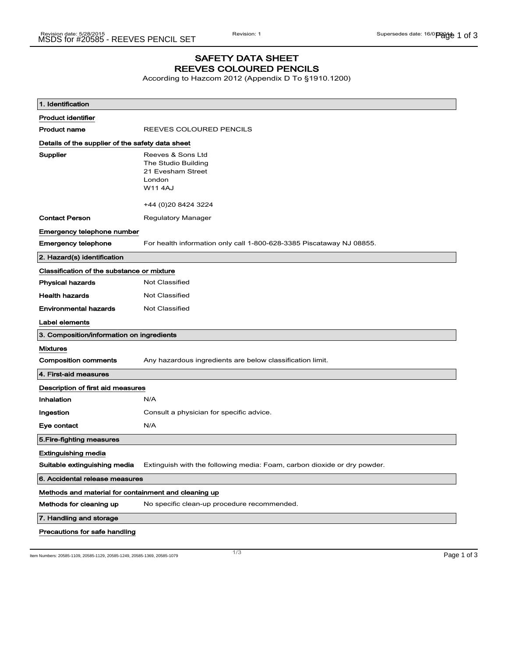## SAFETY DATA SHEET REEVES COLOURED PENCILS

According to Hazcom 2012 (Appendix D To §1910.1200)

| 1. Identification                                    |                                                                                                                  |  |
|------------------------------------------------------|------------------------------------------------------------------------------------------------------------------|--|
| <b>Product identifier</b>                            |                                                                                                                  |  |
| <b>Product name</b>                                  | REEVES COLOURED PENCILS                                                                                          |  |
| Details of the supplier of the safety data sheet     |                                                                                                                  |  |
| <b>Supplier</b>                                      | Reeves & Sons Ltd<br>The Studio Building<br>21 Evesham Street<br>London<br><b>W114AJ</b><br>+44 (0) 20 8424 3224 |  |
| <b>Contact Person</b>                                | Regulatory Manager                                                                                               |  |
| Emergency telephone number                           |                                                                                                                  |  |
| <b>Emergency telephone</b>                           | For health information only call 1-800-628-3385 Piscataway NJ 08855.                                             |  |
| 2. Hazard(s) identification                          |                                                                                                                  |  |
| Classification of the substance or mixture           |                                                                                                                  |  |
| <b>Physical hazards</b>                              | <b>Not Classified</b>                                                                                            |  |
| <b>Health hazards</b>                                | Not Classified                                                                                                   |  |
| <b>Environmental hazards</b>                         | Not Classified                                                                                                   |  |
| Label elements                                       |                                                                                                                  |  |
| 3. Composition/information on ingredients            |                                                                                                                  |  |
| <b>Mixtures</b>                                      |                                                                                                                  |  |
| <b>Composition comments</b>                          | Any hazardous ingredients are below classification limit.                                                        |  |
| 4. First-aid measures                                |                                                                                                                  |  |
| Description of first aid measures                    |                                                                                                                  |  |
| Inhalation                                           | N/A                                                                                                              |  |
| Ingestion                                            | Consult a physician for specific advice.                                                                         |  |
| Eye contact                                          | N/A                                                                                                              |  |
| 5. Fire-fighting measures                            |                                                                                                                  |  |
| <b>Extinguishing media</b>                           |                                                                                                                  |  |
| Suitable extinguishing media                         | Extinguish with the following media: Foam, carbon dioxide or dry powder.                                         |  |
| 6. Accidental release measures                       |                                                                                                                  |  |
| Methods and material for containment and cleaning up |                                                                                                                  |  |
| Methods for cleaning up                              | No specific clean-up procedure recommended.                                                                      |  |
| 7. Handling and storage                              |                                                                                                                  |  |
| Precautions for safe handling                        |                                                                                                                  |  |

Item Numbers: 20585-1109, 20585-1129, 20585-1249, 20585-1369, 20585-1079 **Page 1 of 3** and the Numbers: 20585-1109, 20585-1129, 20585-1249, 20585-1369, 20585-1079

1/ 3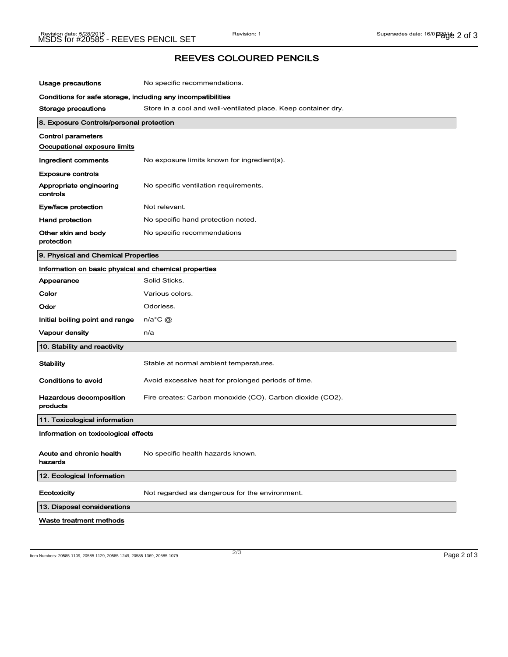## REEVES COLOURED PENCILS

| Usage precautions                                            | No specific recommendations.                                   |  |
|--------------------------------------------------------------|----------------------------------------------------------------|--|
| Conditions for safe storage, including any incompatibilities |                                                                |  |
| Storage precautions                                          | Store in a cool and well-ventilated place. Keep container dry. |  |
| 8. Exposure Controls/personal protection                     |                                                                |  |
| <b>Control parameters</b>                                    |                                                                |  |
| Occupational exposure limits                                 |                                                                |  |
| Ingredient comments                                          | No exposure limits known for ingredient(s).                    |  |
| <b>Exposure controls</b>                                     |                                                                |  |
| Appropriate engineering<br>controls                          | No specific ventilation requirements.                          |  |
| Eye/face protection                                          | Not relevant.                                                  |  |
| <b>Hand protection</b>                                       | No specific hand protection noted.                             |  |
| Other skin and body<br>protection                            | No specific recommendations                                    |  |
| 9. Physical and Chemical Properties                          |                                                                |  |
| Information on basic physical and chemical properties        |                                                                |  |
| Appearance                                                   | Solid Sticks.                                                  |  |
| Color                                                        | Various colors.                                                |  |
| Odor                                                         | Odorless.                                                      |  |
| Initial boiling point and range                              | $n/a$ °C $\omega$                                              |  |
| Vapour density                                               | n/a                                                            |  |
| 10. Stability and reactivity                                 |                                                                |  |
| Stability                                                    | Stable at normal ambient temperatures.                         |  |
| Conditions to avoid                                          | Avoid excessive heat for prolonged periods of time.            |  |
| Hazardous decomposition<br>products                          | Fire creates: Carbon monoxide (CO). Carbon dioxide (CO2).      |  |
| 11. Toxicological information                                |                                                                |  |
| Information on toxicological effects                         |                                                                |  |
| Acute and chronic health<br>hazards                          | No specific health hazards known.                              |  |
| 12. Ecological Information                                   |                                                                |  |
| Ecotoxicity                                                  | Not regarded as dangerous for the environment.                 |  |
| 13. Disposal considerations                                  |                                                                |  |
| Waste treatment methods                                      |                                                                |  |

Item Numbers: 20585-1109, 20585-1129, 20585-1249, 20585-1369, 20585-1079 2/3